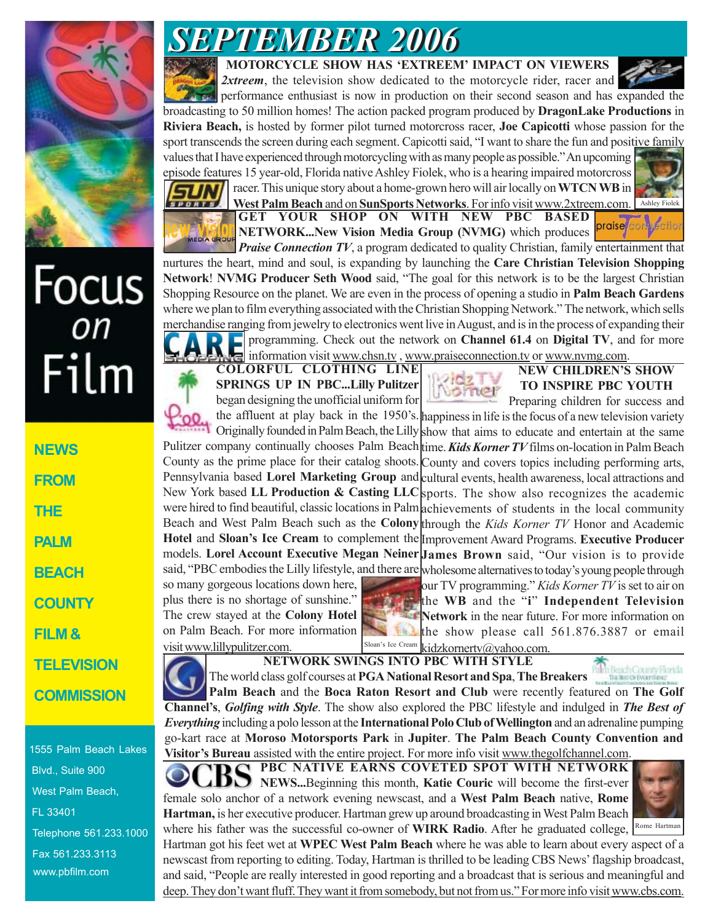

# Focus<br>*on* Film

**NEWS FROM THE PALM BEACH COUNTY FILM & TELEVISION COMMISSION**

1555 Palm Beach Lakes Blvd., Suite 900 West Palm Beach, FL 33401 Telephone 561.233.1000 Fax 561.233.3113 www.pbfilm.com

## *SEPTEMBER 2006 SEPTEMBER 2006*

**MOTORCYCLE SHOW HAS 'EXTREEM' IMPACT ON VIEWERS**

**2xtreem**, the television show dedicated to the motorcycle rider, racer and

performance enthusiast is now in production on their second season and has expanded the broadcasting to 50 million homes! The action packed program produced by **DragonLake Productions** in **Riviera Beach,** is hosted by former pilot turned motorcross racer, **Joe Capicotti** whose passion for the sport transcends the screen during each segment. Capicotti said, "I want to share the fun and positive family values that I have experienced through motorcycling with as many people as possible." An upcoming

episode features 15 year-old, Florida native Ashley Fiolek, who is a hearing impaired motorcross racer. This unique story about a home-grown hero will air locally on **WTCN WB** in



**GET YOUR SHOP ON WITH NEW PBC BASED NETWORK...New Vision Media Group (NVMG)** which produces West Palm Beach and on SunSports Networks. For info visit www.2xtreem.com. Ashley Fiolek

*Praise Connection TV*, a program dedicated to quality Christian, family entertainment that nurtures the heart, mind and soul, is expanding by launching the **Care Christian Television Shopping Network**! **NVMG Producer Seth Wood** said, "The goal for this network is to be the largest Christian Shopping Resource on the planet. We are even in the process of opening a studio in **Palm Beach Gardens** where we plan to film everything associated with the Christian Shopping Network." The network, which sells merchandise ranging from jewelry to electronics went live in August, and is in the process of expanding their programming. Check out the network on **Channel 61.4** on **Digital TV**, and for more

**COLORFUL CLOTHING LINE SPRINGS UP IN PBC...Lilly Pulitzer** began designing the unofficial uniform for information visit www.chsn.tv , www.praiseconnection.tv or www.nvmg.com.



### **NEW CHILDREN'S SHOW TO INSPIRE PBC YOUTH**

**praise** 

the affluent at play back in the 1950's. happiness in life is the focus of a new television variety Originally founded in Palm Beach, the Lilly show that aims to educate and entertain at the same Pulitzer company continually chooses Palm Beach time. **Kids Korner TV** films on-location in Palm Beach County as the prime place for their catalog shoots. County and covers topics including performing arts, Pennsylvania based **Lorel Marketing Group** and cultural events, health awareness, local attractions and New York based LL Production & Casting LLC sports. The show also recognizes the academic were hired to find beautiful, classic locations in Palm achievements of students in the local community Beach and West Palm Beach such as the **Colony** through the *Kids Korner TV* Honor and Academic **Hotel** and **Sloan's Ice Cream** to complement the Improvement Award Programs. **Executive Producer** models. **Lorel Account Executive Megan Neiner James Brown** said, "Our vision is to provide said, "PBC embodies the Lilly lifestyle, and there are wholesome alternatives to today's young people through Preparing children for success and

so many gorgeous locations down here, plus there is no shortage of sunshine." The crew stayed at the **Colony Hotel** on Palm Beach. For more information visit www.lillypulitzer.com.



our TV programming." *Kids Korner TV* is set to air on the **WB** and the "**i**" **Independent Television Network** in the near future. For more information on the show please call 561.876.3887 or email kidzkornertv@yahoo.com.

**NETWORK SWINGS INTO PBC WITH STYLE**

The world class golf courses at **PGA National Resort and Spa**, **The Breakers Palm Beach** and the **Boca Raton Resort and Club** were recently featured on **The Golf Channel's**, *Golfing with Style*. The show also explored the PBC lifestyle and indulged in *The Best of Everything* including a polo lesson at the **International Polo Club of Wellington** and an adrenaline pumping go-kart race at **Moroso Motorsports Park** in **Jupiter**. **The Palm Beach County Convention and Visitor's Bureau** assisted with the entire project. For more info visit www.thegolfchannel.com.

**PBC NATIVE EARNS COVETED SPOT WITH NETWORK NEWS...**Beginning this month, **Katie Couric** will become the first-ever female solo anchor of a network evening newscast, and a **West Palm Beach** native, **Rome Hartman,** is her executive producer. Hartman grew up around broadcasting in West Palm Beach



where his father was the successful co-owner of **WIRK Radio**. After he graduated college, <sup>Rome Hartman</sup> Hartman got his feet wet at **WPEC West Palm Beach** where he was able to learn about every aspect of a newscast from reporting to editing. Today, Hartman is thrilled to be leading CBS News' flagship broadcast, and said, "People are really interested in good reporting and a broadcast that is serious and meaningful and deep. They don't want fluff. They want it from somebody, but not from us." For more info visit www.cbs.com.